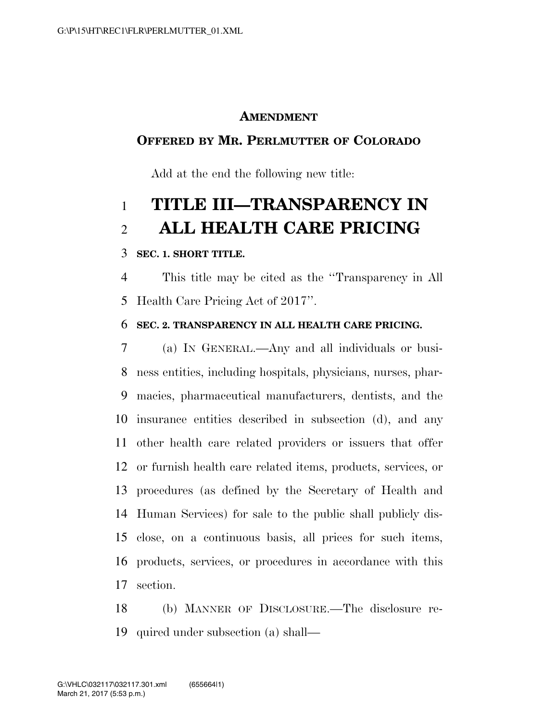### **AMENDMENT**

## **OFFERED BY MR. PERLMUTTER OF COLORADO**

Add at the end the following new title:

# **TITLE III—TRANSPARENCY IN ALL HEALTH CARE PRICING**

#### **SEC. 1. SHORT TITLE.**

 This title may be cited as the ''Transparency in All Health Care Pricing Act of 2017''.

#### **SEC. 2. TRANSPARENCY IN ALL HEALTH CARE PRICING.**

 (a) IN GENERAL.—Any and all individuals or busi- ness entities, including hospitals, physicians, nurses, phar- macies, pharmaceutical manufacturers, dentists, and the insurance entities described in subsection (d), and any other health care related providers or issuers that offer or furnish health care related items, products, services, or procedures (as defined by the Secretary of Health and Human Services) for sale to the public shall publicly dis- close, on a continuous basis, all prices for such items, products, services, or procedures in accordance with this section.

 (b) MANNER OF DISCLOSURE.—The disclosure re-quired under subsection (a) shall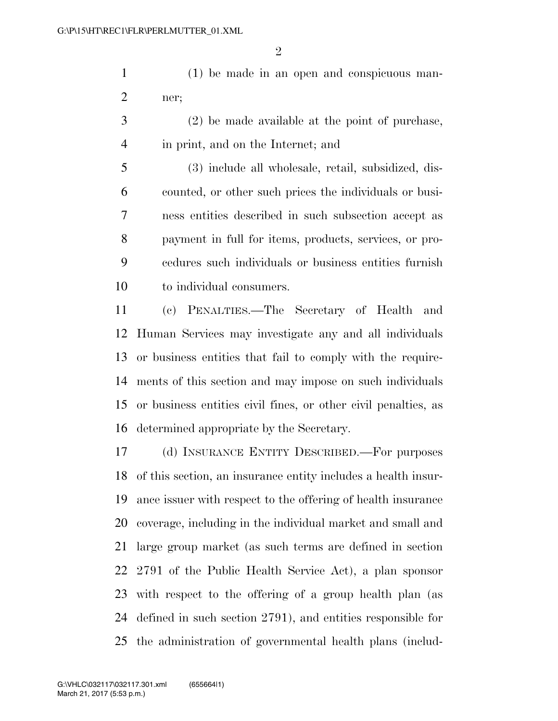(1) be made in an open and conspicuous man-ner;

 (2) be made available at the point of purchase, in print, and on the Internet; and

 (3) include all wholesale, retail, subsidized, dis- counted, or other such prices the individuals or busi- ness entities described in such subsection accept as payment in full for items, products, services, or pro- cedures such individuals or business entities furnish to individual consumers.

 (c) PENALTIES.—The Secretary of Health and Human Services may investigate any and all individuals or business entities that fail to comply with the require- ments of this section and may impose on such individuals or business entities civil fines, or other civil penalties, as determined appropriate by the Secretary.

 (d) INSURANCE ENTITY DESCRIBED.—For purposes of this section, an insurance entity includes a health insur- ance issuer with respect to the offering of health insurance coverage, including in the individual market and small and large group market (as such terms are defined in section 2791 of the Public Health Service Act), a plan sponsor with respect to the offering of a group health plan (as defined in such section 2791), and entities responsible for the administration of governmental health plans (includ-